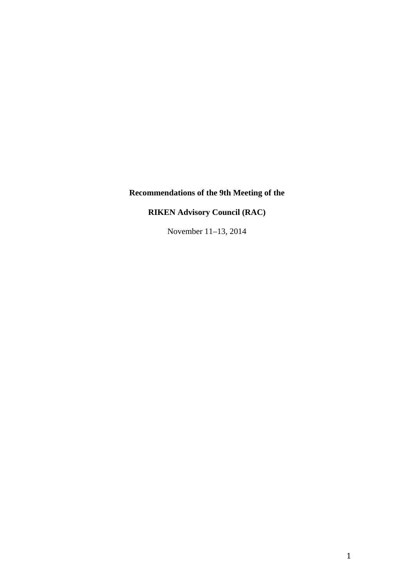# **Recommendations of the 9th Meeting of the**

**RIKEN Advisory Council (RAC)**

November 11–13, 2014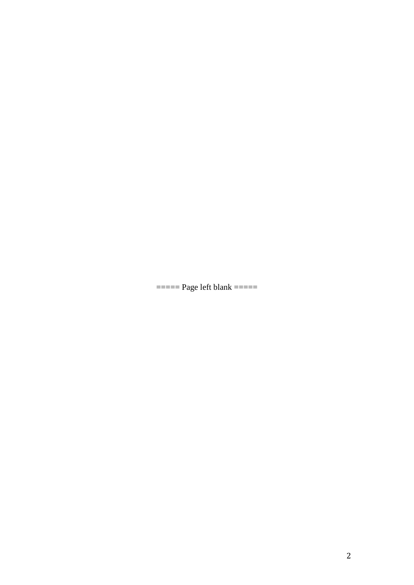$=$ ===== Page left blank  $=$ ====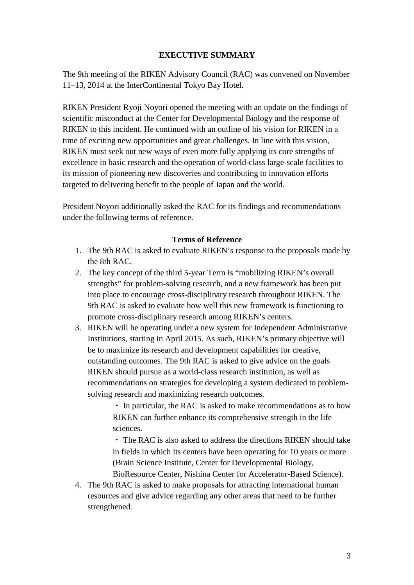# **EXECUTIVE SUMMARY**

The 9th meeting of the RIKEN Advisory Council (RAC) was convened on November 11–13, 2014 at the InterContinental Tokyo Bay Hotel.

RIKEN President Ryoji Noyori opened the meeting with an update on the findings of scientific misconduct at the Center for Developmental Biology and the response of RIKEN to this incident. He continued with an outline of his vision for RIKEN in a time of exciting new opportunities and great challenges. In line with this vision, RIKEN must seek out new ways of even more fully applying its core strengths of excellence in basic research and the operation of world-class large-scale facilities to its mission of pioneering new discoveries and contributing to innovation efforts targeted to delivering benefit to the people of Japan and the world.

President Noyori additionally asked the RAC for its findings and recommendations under the following terms of reference.

### **Terms of Reference**

- 1. The 9th RAC is asked to evaluate RIKEN's response to the proposals made by the 8th RAC.
- 2. The key concept of the third 5-year Term is "mobilizing RIKEN's overall strengths" for problem-solving research, and a new framework has been put into place to encourage cross-disciplinary research throughout RIKEN. The 9th RAC is asked to evaluate how well this new framework is functioning to promote cross-disciplinary research among RIKEN's centers.
- 3. RIKEN will be operating under a new system for Independent Administrative Institutions, starting in April 2015. As such, RIKEN's primary objective will be to maximize its research and development capabilities for creative, outstanding outcomes. The 9th RAC is asked to give advice on the goals RIKEN should pursue as a world-class research institution, as well as recommendations on strategies for developing a system dedicated to problemsolving research and maximizing research outcomes.

・ In particular, the RAC is asked to make recommendations as to how RIKEN can further enhance its comprehensive strength in the life sciences.

・ The RAC is also asked to address the directions RIKEN should take in fields in which its centers have been operating for 10 years or more (Brain Science Institute, Center for Developmental Biology,

BioResource Center, Nishina Center for Accelerator-Based Science). 4. The 9th RAC is asked to make proposals for attracting international human resources and give advice regarding any other areas that need to be further strengthened.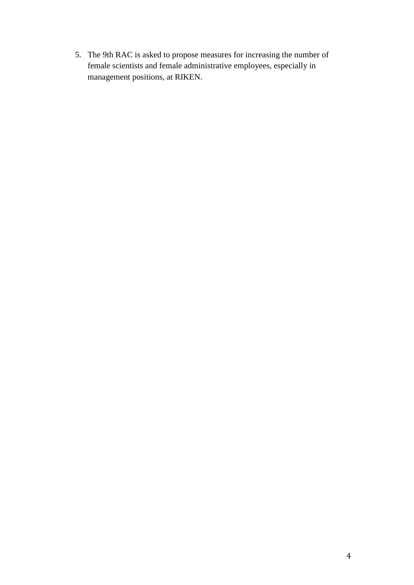5. The 9th RAC is asked to propose measures for increasing the number of female scientists and female administrative employees, especially in management positions, at RIKEN.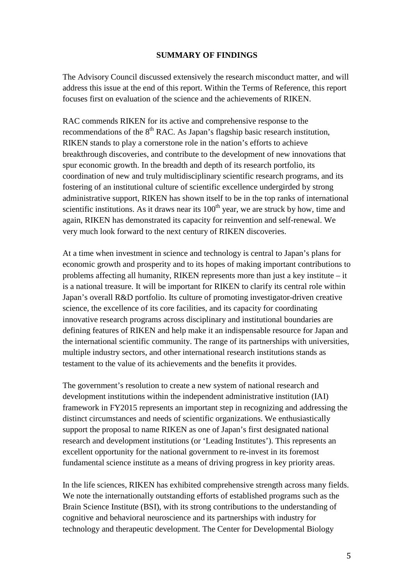#### **SUMMARY OF FINDINGS**

The Advisory Council discussed extensively the research misconduct matter, and will address this issue at the end of this report. Within the Terms of Reference, this report focuses first on evaluation of the science and the achievements of RIKEN.

RAC commends RIKEN for its active and comprehensive response to the recommendations of the  $8<sup>th</sup>$  RAC. As Japan's flagship basic research institution, RIKEN stands to play a cornerstone role in the nation's efforts to achieve breakthrough discoveries, and contribute to the development of new innovations that spur economic growth. In the breadth and depth of its research portfolio, its coordination of new and truly multidisciplinary scientific research programs, and its fostering of an institutional culture of scientific excellence undergirded by strong administrative support, RIKEN has shown itself to be in the top ranks of international scientific institutions. As it draws near its  $100<sup>th</sup>$  year, we are struck by how, time and again, RIKEN has demonstrated its capacity for reinvention and self-renewal. We very much look forward to the next century of RIKEN discoveries.

At a time when investment in science and technology is central to Japan's plans for economic growth and prosperity and to its hopes of making important contributions to problems affecting all humanity, RIKEN represents more than just a key institute – it is a national treasure. It will be important for RIKEN to clarify its central role within Japan's overall R&D portfolio. Its culture of promoting investigator-driven creative science, the excellence of its core facilities, and its capacity for coordinating innovative research programs across disciplinary and institutional boundaries are defining features of RIKEN and help make it an indispensable resource for Japan and the international scientific community. The range of its partnerships with universities, multiple industry sectors, and other international research institutions stands as testament to the value of its achievements and the benefits it provides.

The government's resolution to create a new system of national research and development institutions within the independent administrative institution (IAI) framework in FY2015 represents an important step in recognizing and addressing the distinct circumstances and needs of scientific organizations. We enthusiastically support the proposal to name RIKEN as one of Japan's first designated national research and development institutions (or 'Leading Institutes'). This represents an excellent opportunity for the national government to re-invest in its foremost fundamental science institute as a means of driving progress in key priority areas.

In the life sciences, RIKEN has exhibited comprehensive strength across many fields. We note the internationally outstanding efforts of established programs such as the Brain Science Institute (BSI), with its strong contributions to the understanding of cognitive and behavioral neuroscience and its partnerships with industry for technology and therapeutic development. The Center for Developmental Biology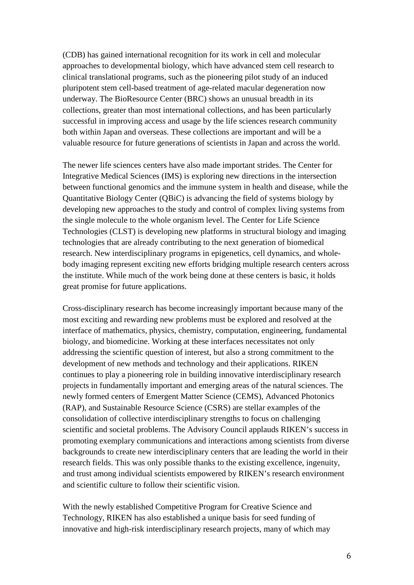(CDB) has gained international recognition for its work in cell and molecular approaches to developmental biology, which have advanced stem cell research to clinical translational programs, such as the pioneering pilot study of an induced pluripotent stem cell-based treatment of age-related macular degeneration now underway. The BioResource Center (BRC) shows an unusual breadth in its collections, greater than most international collections, and has been particularly successful in improving access and usage by the life sciences research community both within Japan and overseas. These collections are important and will be a valuable resource for future generations of scientists in Japan and across the world.

The newer life sciences centers have also made important strides. The Center for Integrative Medical Sciences (IMS) is exploring new directions in the intersection between functional genomics and the immune system in health and disease, while the Quantitative Biology Center (QBiC) is advancing the field of systems biology by developing new approaches to the study and control of complex living systems from the single molecule to the whole organism level. The Center for Life Science Technologies (CLST) is developing new platforms in structural biology and imaging technologies that are already contributing to the next generation of biomedical research. New interdisciplinary programs in epigenetics, cell dynamics, and wholebody imaging represent exciting new efforts bridging multiple research centers across the institute. While much of the work being done at these centers is basic, it holds great promise for future applications.

Cross-disciplinary research has become increasingly important because many of the most exciting and rewarding new problems must be explored and resolved at the interface of mathematics, physics, chemistry, computation, engineering, fundamental biology, and biomedicine. Working at these interfaces necessitates not only addressing the scientific question of interest, but also a strong commitment to the development of new methods and technology and their applications. RIKEN continues to play a pioneering role in building innovative interdisciplinary research projects in fundamentally important and emerging areas of the natural sciences. The newly formed centers of Emergent Matter Science (CEMS), Advanced Photonics (RAP), and Sustainable Resource Science (CSRS) are stellar examples of the consolidation of collective interdisciplinary strengths to focus on challenging scientific and societal problems. The Advisory Council applauds RIKEN's success in promoting exemplary communications and interactions among scientists from diverse backgrounds to create new interdisciplinary centers that are leading the world in their research fields. This was only possible thanks to the existing excellence, ingenuity, and trust among individual scientists empowered by RIKEN's research environment and scientific culture to follow their scientific vision.

With the newly established Competitive Program for Creative Science and Technology, RIKEN has also established a unique basis for seed funding of innovative and high-risk interdisciplinary research projects, many of which may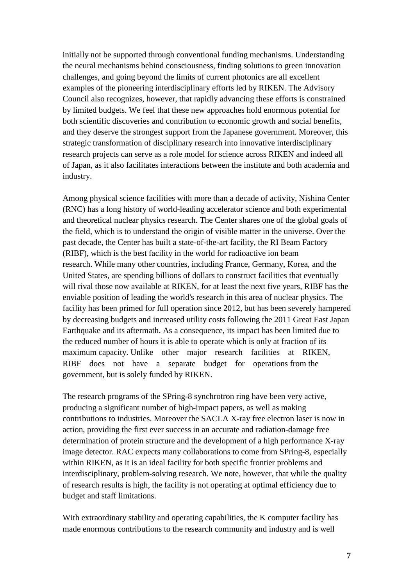initially not be supported through conventional funding mechanisms. Understanding the neural mechanisms behind consciousness, finding solutions to green innovation challenges, and going beyond the limits of current photonics are all excellent examples of the pioneering interdisciplinary efforts led by RIKEN. The Advisory Council also recognizes, however, that rapidly advancing these efforts is constrained by limited budgets. We feel that these new approaches hold enormous potential for both scientific discoveries and contribution to economic growth and social benefits, and they deserve the strongest support from the Japanese government. Moreover, this strategic transformation of disciplinary research into innovative interdisciplinary research projects can serve as a role model for science across RIKEN and indeed all of Japan, as it also facilitates interactions between the institute and both academia and industry.

Among physical science facilities with more than a decade of activity, Nishina Center (RNC) has a long history of world-leading accelerator science and both experimental and theoretical nuclear physics research. The Center shares one of the global goals of the field, which is to understand the origin of visible matter in the universe. Over the past decade, the Center has built a state-of-the-art facility, the RI Beam Factory (RIBF), which is the best facility in the world for radioactive ion beam research. While many other countries, including France, Germany, Korea, and the United States, are spending billions of dollars to construct facilities that eventually will rival those now available at RIKEN, for at least the next five years, RIBF has the enviable position of leading the world's research in this area of nuclear physics. The facility has been primed for full operation since 2012, but has been severely hampered by decreasing budgets and increased utility costs following the 2011 Great East Japan Earthquake and its aftermath. As a consequence, its impact has been limited due to the reduced number of hours it is able to operate which is only at fraction of its maximum capacity. Unlike other major research facilities at RIKEN, RIBF does not have a separate budget for operations from the government, but is solely funded by RIKEN.

The research programs of the SPring-8 synchrotron ring have been very active, producing a significant number of high-impact papers, as well as making contributions to industries. Moreover the SACLA X-ray free electron laser is now in action, providing the first ever success in an accurate and radiation-damage free determination of protein structure and the development of a high performance X-ray image detector. RAC expects many collaborations to come from SPring-8, especially within RIKEN, as it is an ideal facility for both specific frontier problems and interdisciplinary, problem-solving research. We note, however, that while the quality of research results is high, the facility is not operating at optimal efficiency due to budget and staff limitations.

With extraordinary stability and operating capabilities, the K computer facility has made enormous contributions to the research community and industry and is well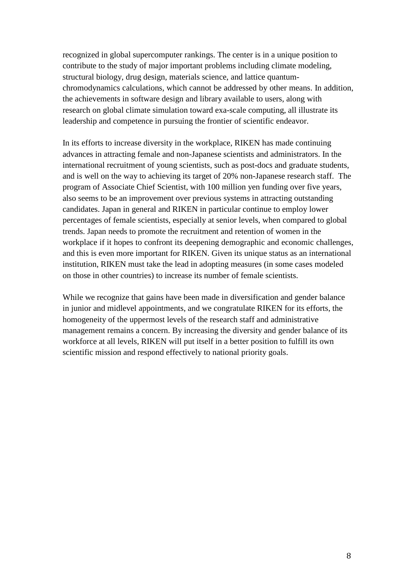recognized in global supercomputer rankings. The center is in a unique position to contribute to the study of major important problems including climate modeling, structural biology, drug design, materials science, and lattice quantumchromodynamics calculations, which cannot be addressed by other means. In addition, the achievements in software design and library available to users, along with research on global climate simulation toward exa-scale computing, all illustrate its leadership and competence in pursuing the frontier of scientific endeavor.

In its efforts to increase diversity in the workplace, RIKEN has made continuing advances in attracting female and non-Japanese scientists and administrators. In the international recruitment of young scientists, such as post-docs and graduate students, and is well on the way to achieving its target of 20% non-Japanese research staff. The program of Associate Chief Scientist, with 100 million yen funding over five years, also seems to be an improvement over previous systems in attracting outstanding candidates. Japan in general and RIKEN in particular continue to employ lower percentages of female scientists, especially at senior levels, when compared to global trends. Japan needs to promote the recruitment and retention of women in the workplace if it hopes to confront its deepening demographic and economic challenges, and this is even more important for RIKEN. Given its unique status as an international institution, RIKEN must take the lead in adopting measures (in some cases modeled on those in other countries) to increase its number of female scientists.

While we recognize that gains have been made in diversification and gender balance in junior and midlevel appointments, and we congratulate RIKEN for its efforts, the homogeneity of the uppermost levels of the research staff and administrative management remains a concern. By increasing the diversity and gender balance of its workforce at all levels, RIKEN will put itself in a better position to fulfill its own scientific mission and respond effectively to national priority goals.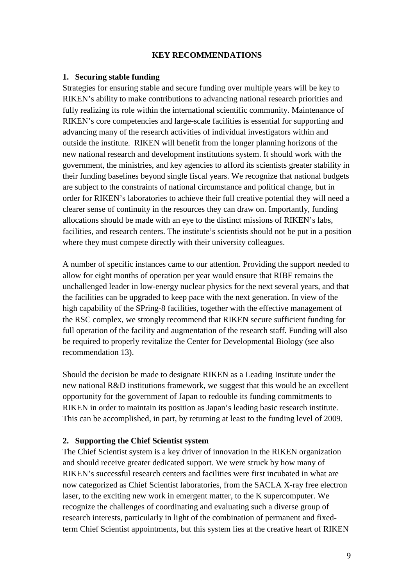### **KEY RECOMMENDATIONS**

#### **1. Securing stable funding**

Strategies for ensuring stable and secure funding over multiple years will be key to RIKEN's ability to make contributions to advancing national research priorities and fully realizing its role within the international scientific community. Maintenance of RIKEN's core competencies and large-scale facilities is essential for supporting and advancing many of the research activities of individual investigators within and outside the institute. RIKEN will benefit from the longer planning horizons of the new national research and development institutions system. It should work with the government, the ministries, and key agencies to afford its scientists greater stability in their funding baselines beyond single fiscal years. We recognize that national budgets are subject to the constraints of national circumstance and political change, but in order for RIKEN's laboratories to achieve their full creative potential they will need a clearer sense of continuity in the resources they can draw on. Importantly, funding allocations should be made with an eye to the distinct missions of RIKEN's labs, facilities, and research centers. The institute's scientists should not be put in a position where they must compete directly with their university colleagues.

A number of specific instances came to our attention. Providing the support needed to allow for eight months of operation per year would ensure that RIBF remains the unchallenged leader in low-energy nuclear physics for the next several years, and that the facilities can be upgraded to keep pace with the next generation. In view of the high capability of the SPring-8 facilities, together with the effective management of the RSC complex, we strongly recommend that RIKEN secure sufficient funding for full operation of the facility and augmentation of the research staff. Funding will also be required to properly revitalize the Center for Developmental Biology (see also recommendation 13).

Should the decision be made to designate RIKEN as a Leading Institute under the new national R&D institutions framework, we suggest that this would be an excellent opportunity for the government of Japan to redouble its funding commitments to RIKEN in order to maintain its position as Japan's leading basic research institute. This can be accomplished, in part, by returning at least to the funding level of 2009.

### **2. Supporting the Chief Scientist system**

The Chief Scientist system is a key driver of innovation in the RIKEN organization and should receive greater dedicated support. We were struck by how many of RIKEN's successful research centers and facilities were first incubated in what are now categorized as Chief Scientist laboratories, from the SACLA X-ray free electron laser, to the exciting new work in emergent matter, to the K supercomputer. We recognize the challenges of coordinating and evaluating such a diverse group of research interests, particularly in light of the combination of permanent and fixedterm Chief Scientist appointments, but this system lies at the creative heart of RIKEN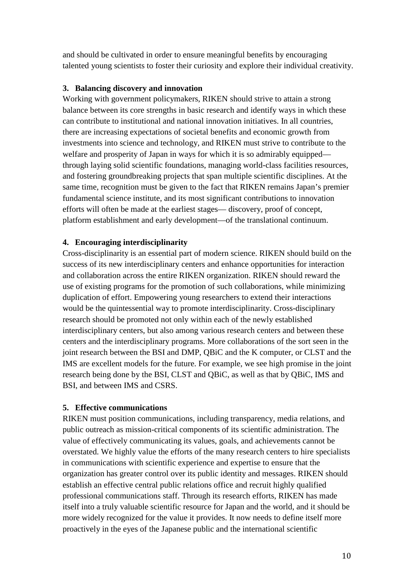and should be cultivated in order to ensure meaningful benefits by encouraging talented young scientists to foster their curiosity and explore their individual creativity.

### **3. Balancing discovery and innovation**

Working with government policymakers, RIKEN should strive to attain a strong balance between its core strengths in basic research and identify ways in which these can contribute to institutional and national innovation initiatives. In all countries, there are increasing expectations of societal benefits and economic growth from investments into science and technology, and RIKEN must strive to contribute to the welfare and prosperity of Japan in ways for which it is so admirably equipped through laying solid scientific foundations, managing world-class facilities resources, and fostering groundbreaking projects that span multiple scientific disciplines. At the same time, recognition must be given to the fact that RIKEN remains Japan's premier fundamental science institute, and its most significant contributions to innovation efforts will often be made at the earliest stages— discovery, proof of concept, platform establishment and early development—of the translational continuum.

### **4. Encouraging interdisciplinarity**

Cross-disciplinarity is an essential part of modern science. RIKEN should build on the success of its new interdisciplinary centers and enhance opportunities for interaction and collaboration across the entire RIKEN organization. RIKEN should reward the use of existing programs for the promotion of such collaborations, while minimizing duplication of effort. Empowering young researchers to extend their interactions would be the quintessential way to promote interdisciplinarity. Cross-disciplinary research should be promoted not only within each of the newly established interdisciplinary centers, but also among various research centers and between these centers and the interdisciplinary programs. More collaborations of the sort seen in the joint research between the BSI and DMP, QBiC and the K computer, or CLST and the IMS are excellent models for the future. For example, we see high promise in the joint research being done by the BSI, CLST and QBiC, as well as that by QBiC, IMS and BSI, and between IMS and CSRS.

# **5. Effective communications**

RIKEN must position communications, including transparency, media relations, and public outreach as mission-critical components of its scientific administration. The value of effectively communicating its values, goals, and achievements cannot be overstated. We highly value the efforts of the many research centers to hire specialists in communications with scientific experience and expertise to ensure that the organization has greater control over its public identity and messages. RIKEN should establish an effective central public relations office and recruit highly qualified professional communications staff. Through its research efforts, RIKEN has made itself into a truly valuable scientific resource for Japan and the world, and it should be more widely recognized for the value it provides. It now needs to define itself more proactively in the eyes of the Japanese public and the international scientific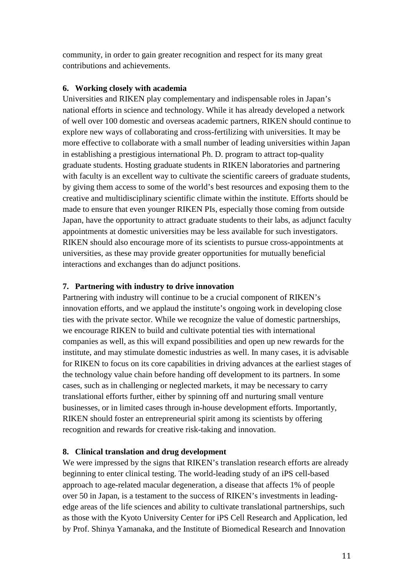community, in order to gain greater recognition and respect for its many great contributions and achievements.

### **6. Working closely with academia**

Universities and RIKEN play complementary and indispensable roles in Japan's national efforts in science and technology. While it has already developed a network of well over 100 domestic and overseas academic partners, RIKEN should continue to explore new ways of collaborating and cross-fertilizing with universities. It may be more effective to collaborate with a small number of leading universities within Japan in establishing a prestigious international Ph. D. program to attract top-quality graduate students. Hosting graduate students in RIKEN laboratories and partnering with faculty is an excellent way to cultivate the scientific careers of graduate students, by giving them access to some of the world's best resources and exposing them to the creative and multidisciplinary scientific climate within the institute. Efforts should be made to ensure that even younger RIKEN PIs, especially those coming from outside Japan, have the opportunity to attract graduate students to their labs, as adjunct faculty appointments at domestic universities may be less available for such investigators. RIKEN should also encourage more of its scientists to pursue cross-appointments at universities, as these may provide greater opportunities for mutually beneficial interactions and exchanges than do adjunct positions.

# **7. Partnering with industry to drive innovation**

Partnering with industry will continue to be a crucial component of RIKEN's innovation efforts, and we applaud the institute's ongoing work in developing close ties with the private sector. While we recognize the value of domestic partnerships, we encourage RIKEN to build and cultivate potential ties with international companies as well, as this will expand possibilities and open up new rewards for the institute, and may stimulate domestic industries as well. In many cases, it is advisable for RIKEN to focus on its core capabilities in driving advances at the earliest stages of the technology value chain before handing off development to its partners. In some cases, such as in challenging or neglected markets, it may be necessary to carry translational efforts further, either by spinning off and nurturing small venture businesses, or in limited cases through in-house development efforts. Importantly, RIKEN should foster an entrepreneurial spirit among its scientists by offering recognition and rewards for creative risk-taking and innovation.

# **8. Clinical translation and drug development**

We were impressed by the signs that RIKEN's translation research efforts are already beginning to enter clinical testing. The world-leading study of an iPS cell-based approach to age-related macular degeneration, a disease that affects 1% of people over 50 in Japan, is a testament to the success of RIKEN's investments in leadingedge areas of the life sciences and ability to cultivate translational partnerships, such as those with the Kyoto University Center for iPS Cell Research and Application, led by Prof. Shinya Yamanaka, and the Institute of Biomedical Research and Innovation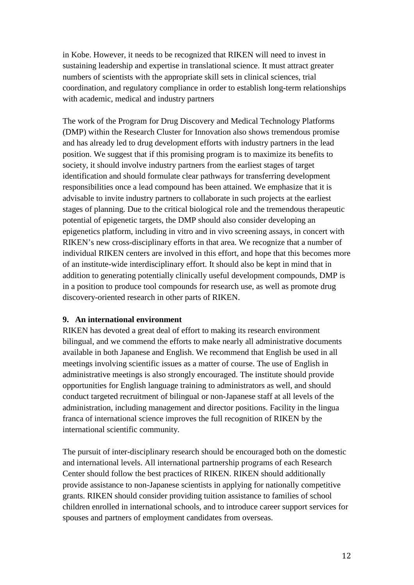in Kobe. However, it needs to be recognized that RIKEN will need to invest in sustaining leadership and expertise in translational science. It must attract greater numbers of scientists with the appropriate skill sets in clinical sciences, trial coordination, and regulatory compliance in order to establish long-term relationships with academic, medical and industry partners

The work of the Program for Drug Discovery and Medical Technology Platforms (DMP) within the Research Cluster for Innovation also shows tremendous promise and has already led to drug development efforts with industry partners in the lead position. We suggest that if this promising program is to maximize its benefits to society, it should involve industry partners from the earliest stages of target identification and should formulate clear pathways for transferring development responsibilities once a lead compound has been attained. We emphasize that it is advisable to invite industry partners to collaborate in such projects at the earliest stages of planning. Due to the critical biological role and the tremendous therapeutic potential of epigenetic targets, the DMP should also consider developing an epigenetics platform, including in vitro and in vivo screening assays, in concert with RIKEN's new cross-disciplinary efforts in that area. We recognize that a number of individual RIKEN centers are involved in this effort, and hope that this becomes more of an institute-wide interdisciplinary effort. It should also be kept in mind that in addition to generating potentially clinically useful development compounds, DMP is in a position to produce tool compounds for research use, as well as promote drug discovery-oriented research in other parts of RIKEN.

### **9. An international environment**

RIKEN has devoted a great deal of effort to making its research environment bilingual, and we commend the efforts to make nearly all administrative documents available in both Japanese and English. We recommend that English be used in all meetings involving scientific issues as a matter of course. The use of English in administrative meetings is also strongly encouraged. The institute should provide opportunities for English language training to administrators as well, and should conduct targeted recruitment of bilingual or non-Japanese staff at all levels of the administration, including management and director positions. Facility in the lingua franca of international science improves the full recognition of RIKEN by the international scientific community.

The pursuit of inter-disciplinary research should be encouraged both on the domestic and international levels. All international partnership programs of each Research Center should follow the best practices of RIKEN. RIKEN should additionally provide assistance to non-Japanese scientists in applying for nationally competitive grants. RIKEN should consider providing tuition assistance to families of school children enrolled in international schools, and to introduce career support services for spouses and partners of employment candidates from overseas.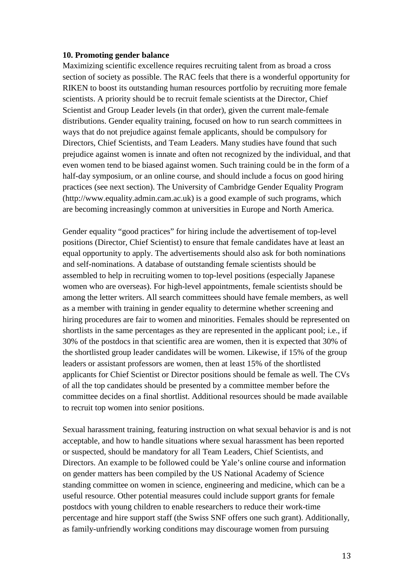#### **10. Promoting gender balance**

Maximizing scientific excellence requires recruiting talent from as broad a cross section of society as possible. The RAC feels that there is a wonderful opportunity for RIKEN to boost its outstanding human resources portfolio by recruiting more female scientists. A priority should be to recruit female scientists at the Director, Chief Scientist and Group Leader levels (in that order), given the current male-female distributions. Gender equality training, focused on how to run search committees in ways that do not prejudice against female applicants, should be compulsory for Directors, Chief Scientists, and Team Leaders. Many studies have found that such prejudice against women is innate and often not recognized by the individual, and that even women tend to be biased against women. Such training could be in the form of a half-day symposium, or an online course, and should include a focus on good hiring practices (see next section). The University of Cambridge Gender Equality Program (http://www.equality.admin.cam.ac.uk) is a good example of such programs, which are becoming increasingly common at universities in Europe and North America.

Gender equality "good practices" for hiring include the advertisement of top-level positions (Director, Chief Scientist) to ensure that female candidates have at least an equal opportunity to apply. The advertisements should also ask for both nominations and self-nominations. A database of outstanding female scientists should be assembled to help in recruiting women to top-level positions (especially Japanese women who are overseas). For high-level appointments, female scientists should be among the letter writers. All search committees should have female members, as well as a member with training in gender equality to determine whether screening and hiring procedures are fair to women and minorities. Females should be represented on shortlists in the same percentages as they are represented in the applicant pool; i.e., if 30% of the postdocs in that scientific area are women, then it is expected that 30% of the shortlisted group leader candidates will be women. Likewise, if 15% of the group leaders or assistant professors are women, then at least 15% of the shortlisted applicants for Chief Scientist or Director positions should be female as well. The CVs of all the top candidates should be presented by a committee member before the committee decides on a final shortlist. Additional resources should be made available to recruit top women into senior positions.

Sexual harassment training, featuring instruction on what sexual behavior is and is not acceptable, and how to handle situations where sexual harassment has been reported or suspected, should be mandatory for all Team Leaders, Chief Scientists, and Directors. An example to be followed could be Yale's [online course](https://bmsweb.med.yale.edu/tms/tms_enrollments.offerings?p_crs_id=923&p_std_id=) and information on gender matters has been compiled by the US National Academy of Science standing committee on women in science, engineering and medicine, which can be a useful resource. Other potential measures could include support grants for female postdocs with young children to enable researchers to reduce their work-time percentage and hire support staff (the Swiss SNF offers one such [grant\)](http://www.snf.ch/en/funding/supplementary-measures/120-support-grant/Pages/default.aspx). Additionally, as family-unfriendly working conditions may discourage women from pursuing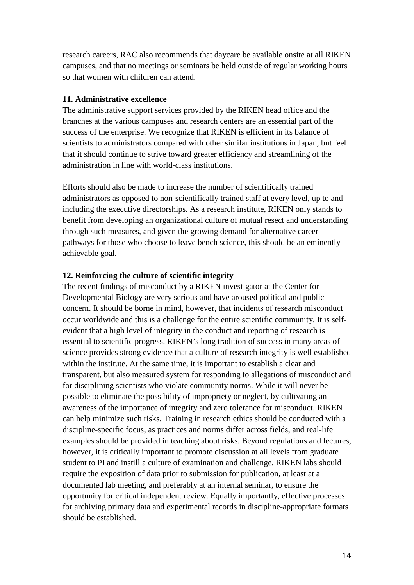research careers, RAC also recommends that daycare be available onsite at all RIKEN campuses, and that no meetings or seminars be held outside of regular working hours so that women with children can attend.

# **11. Administrative excellence**

The administrative support services provided by the RIKEN head office and the branches at the various campuses and research centers are an essential part of the success of the enterprise. We recognize that RIKEN is efficient in its balance of scientists to administrators compared with other similar institutions in Japan, but feel that it should continue to strive toward greater efficiency and streamlining of the administration in line with world-class institutions.

Efforts should also be made to increase the number of scientifically trained administrators as opposed to non-scientifically trained staff at every level, up to and including the executive directorships. As a research institute, RIKEN only stands to benefit from developing an organizational culture of mutual resect and understanding through such measures, and given the growing demand for alternative career pathways for those who choose to leave bench science, this should be an eminently achievable goal.

#### **12. Reinforcing the culture of scientific integrity**

The recent findings of misconduct by a RIKEN investigator at the Center for Developmental Biology are very serious and have aroused political and public concern. It should be borne in mind, however, that incidents of research misconduct occur worldwide and this is a challenge for the entire scientific community. It is selfevident that a high level of integrity in the conduct and reporting of research is essential to scientific progress. RIKEN's long tradition of success in many areas of science provides strong evidence that a culture of research integrity is well established within the institute. At the same time, it is important to establish a clear and transparent, but also measured system for responding to allegations of misconduct and for disciplining scientists who violate community norms. While it will never be possible to eliminate the possibility of impropriety or neglect, by cultivating an awareness of the importance of integrity and zero tolerance for misconduct, RIKEN can help minimize such risks. Training in research ethics should be conducted with a discipline-specific focus, as practices and norms differ across fields, and real-life examples should be provided in teaching about risks. Beyond regulations and lectures, however, it is critically important to promote discussion at all levels from graduate student to PI and instill a culture of examination and challenge. RIKEN labs should require the exposition of data prior to submission for publication, at least at a documented lab meeting, and preferably at an internal seminar, to ensure the opportunity for critical independent review. Equally importantly, effective processes for archiving primary data and experimental records in discipline-appropriate formats should be established.